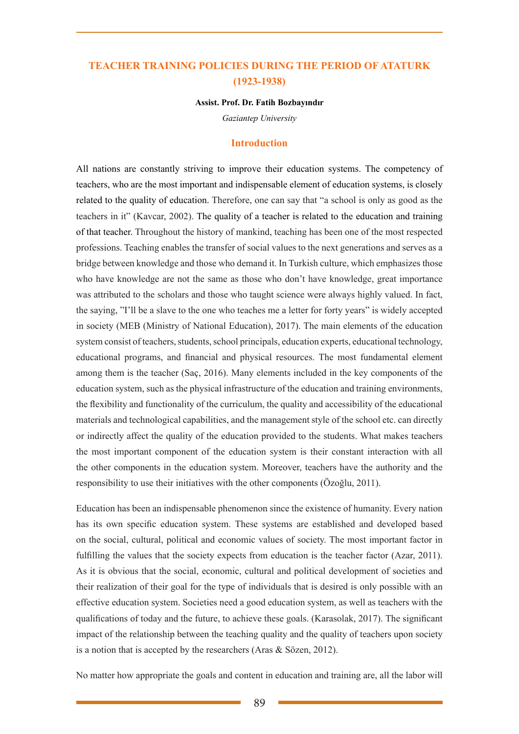# **TEACHER TRAINING POLICIES DURING THE PERIOD OF ATATURK (1923-1938)**

#### **Assist. Prof. Dr. Fatih Bozbayındır**

*Gaziantep University*

### **Introduction**

All nations are constantly striving to improve their education systems. The competency of teachers, who are the most important and indispensable element of education systems, is closely related to the quality of education. Therefore, one can say that "a school is only as good as the teachers in it" (Kavcar, 2002). The quality of a teacher is related to the education and training of that teacher. Throughout the history of mankind, teaching has been one of the most respected professions. Teaching enables the transfer of social values to the next generations and serves as a bridge between knowledge and those who demand it. In Turkish culture, which emphasizes those who have knowledge are not the same as those who don't have knowledge, great importance was attributed to the scholars and those who taught science were always highly valued. In fact, the saying, "I'll be a slave to the one who teaches me a letter for forty years" is widely accepted in society (MEB (Ministry of National Education), 2017). The main elements of the education system consist of teachers, students, school principals, education experts, educational technology, educational programs, and financial and physical resources. The most fundamental element among them is the teacher (Saç, 2016). Many elements included in the key components of the education system, such as the physical infrastructure of the education and training environments, the flexibility and functionality of the curriculum, the quality and accessibility of the educational materials and technological capabilities, and the management style of the school etc. can directly or indirectly affect the quality of the education provided to the students. What makes teachers the most important component of the education system is their constant interaction with all the other components in the education system. Moreover, teachers have the authority and the responsibility to use their initiatives with the other components (Özoğlu, 2011).

Education has been an indispensable phenomenon since the existence of humanity. Every nation has its own specific education system. These systems are established and developed based on the social, cultural, political and economic values of society. The most important factor in fulfilling the values that the society expects from education is the teacher factor (Azar, 2011). As it is obvious that the social, economic, cultural and political development of societies and their realization of their goal for the type of individuals that is desired is only possible with an effective education system. Societies need a good education system, as well as teachers with the qualifications of today and the future, to achieve these goals. (Karasolak, 2017). The significant impact of the relationship between the teaching quality and the quality of teachers upon society is a notion that is accepted by the researchers (Aras & Sözen, 2012).

No matter how appropriate the goals and content in education and training are, all the labor will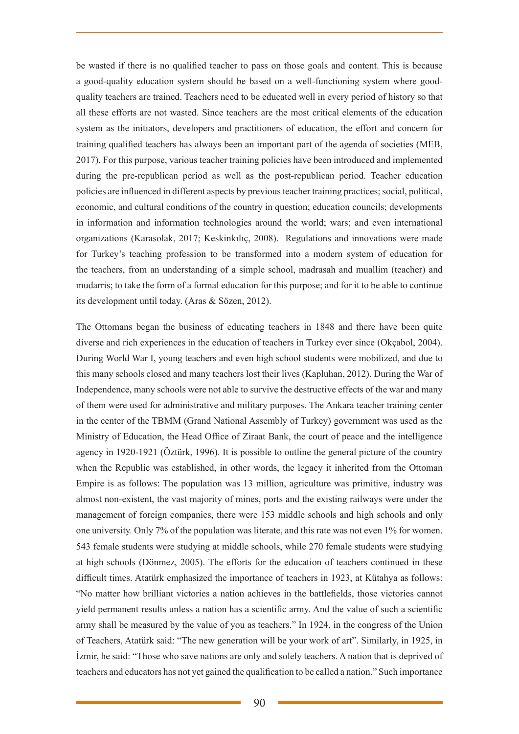be wasted if there is no qualified teacher to pass on those goals and content. This is because a good-quality education system should be based on a well-functioning system where goodquality teachers are trained. Teachers need to be educated well in every period of history so that all these efforts are not wasted. Since teachers are the most critical elements of the education system as the initiators, developers and practitioners of education, the effort and concern for training qualified teachers has always been an important part of the agenda of societies (MEB, 2017). For this purpose, various teacher training policies have been introduced and implemented during the pre-republican period as well as the post-republican period. Teacher education policies are influenced in different aspects by previous teacher training practices; social, political, economic, and cultural conditions of the country in question; education councils; developments in information and information technologies around the world; wars; and even international organizations (Karasolak, 2017; Keskinkılıç, 2008). Regulations and innovations were made for Turkey's teaching profession to be transformed into a modern system of education for the teachers, from an understanding of a simple school, madrasah and muallim (teacher) and mudarris; to take the form of a formal education for this purpose; and for it to be able to continue its development until today. (Aras & Sözen, 2012).

The Ottomans began the business of educating teachers in 1848 and there have been quite diverse and rich experiences in the education of teachers in Turkey ever since (Okçabol, 2004). During World War I, young teachers and even high school students were mobilized, and due to this many schools closed and many teachers lost their lives (Kapluhan, 2012). During the War of Independence, many schools were not able to survive the destructive effects of the war and many of them were used for administrative and military purposes. The Ankara teacher training center in the center of the TBMM (Grand National Assembly of Turkey) government was used as the Ministry of Education, the Head Office of Ziraat Bank, the court of peace and the intelligence agency in 1920-1921 (Öztürk, 1996). It is possible to outline the general picture of the country when the Republic was established, in other words, the legacy it inherited from the Ottoman Empire is as follows: The population was 13 million, agriculture was primitive, industry was almost non-existent, the vast majority of mines, ports and the existing railways were under the management of foreign companies, there were 153 middle schools and high schools and only one university. Only 7% of the population was literate, and this rate was not even 1% for women. 543 female students were studying at middle schools, while 270 female students were studying at high schools (Dönmez, 2005). The efforts for the education of teachers continued in these difficult times. Atatürk emphasized the importance of teachers in 1923, at Kütahya as follows: "No matter how brilliant victories a nation achieves in the battlefields, those victories cannot yield permanent results unless a nation has a scientific army. And the value of such a scientific army shall be measured by the value of you as teachers." In 1924, in the congress of the Union of Teachers, Atatürk said: "The new generation will be your work of art". Similarly, in 1925, in İzmir, he said: "Those who save nations are only and solely teachers. A nation that is deprived of teachers and educators has not yet gained the qualification to be called a nation." Such importance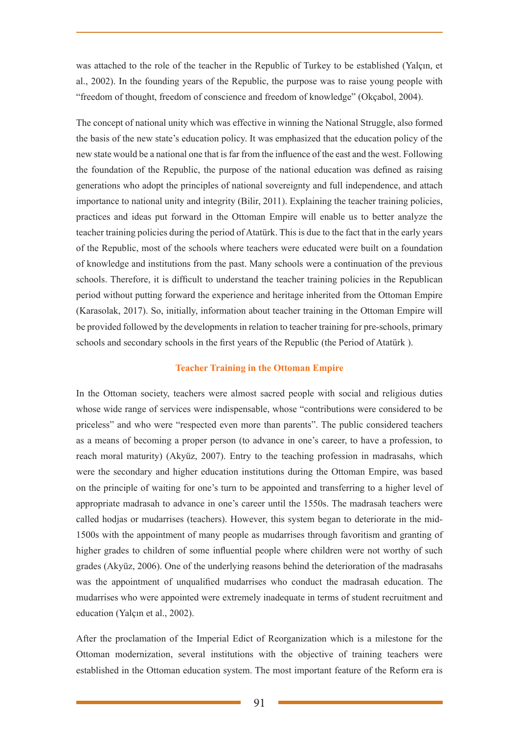was attached to the role of the teacher in the Republic of Turkey to be established (Yalçın, et al., 2002). In the founding years of the Republic, the purpose was to raise young people with "freedom of thought, freedom of conscience and freedom of knowledge" (Okçabol, 2004).

The concept of national unity which was effective in winning the National Struggle, also formed the basis of the new state's education policy. It was emphasized that the education policy of the new state would be a national one that is far from the influence of the east and the west. Following the foundation of the Republic, the purpose of the national education was defined as raising generations who adopt the principles of national sovereignty and full independence, and attach importance to national unity and integrity (Bilir, 2011). Explaining the teacher training policies, practices and ideas put forward in the Ottoman Empire will enable us to better analyze the teacher training policies during the period of Atatürk. This is due to the fact that in the early years of the Republic, most of the schools where teachers were educated were built on a foundation of knowledge and institutions from the past. Many schools were a continuation of the previous schools. Therefore, it is difficult to understand the teacher training policies in the Republican period without putting forward the experience and heritage inherited from the Ottoman Empire (Karasolak, 2017). So, initially, information about teacher training in the Ottoman Empire will be provided followed by the developments in relation to teacher training for pre-schools, primary schools and secondary schools in the first years of the Republic (the Period of Atatürk ).

## **Teacher Training in the Ottoman Empire**

In the Ottoman society, teachers were almost sacred people with social and religious duties whose wide range of services were indispensable, whose "contributions were considered to be priceless" and who were "respected even more than parents". The public considered teachers as a means of becoming a proper person (to advance in one's career, to have a profession, to reach moral maturity) (Akyüz, 2007). Entry to the teaching profession in madrasahs, which were the secondary and higher education institutions during the Ottoman Empire, was based on the principle of waiting for one's turn to be appointed and transferring to a higher level of appropriate madrasah to advance in one's career until the 1550s. The madrasah teachers were called hodjas or mudarrises (teachers). However, this system began to deteriorate in the mid-1500s with the appointment of many people as mudarrises through favoritism and granting of higher grades to children of some influential people where children were not worthy of such grades (Akyüz, 2006). One of the underlying reasons behind the deterioration of the madrasahs was the appointment of unqualified mudarrises who conduct the madrasah education. The mudarrises who were appointed were extremely inadequate in terms of student recruitment and education (Yalçın et al., 2002).

After the proclamation of the Imperial Edict of Reorganization which is a milestone for the Ottoman modernization, several institutions with the objective of training teachers were established in the Ottoman education system. The most important feature of the Reform era is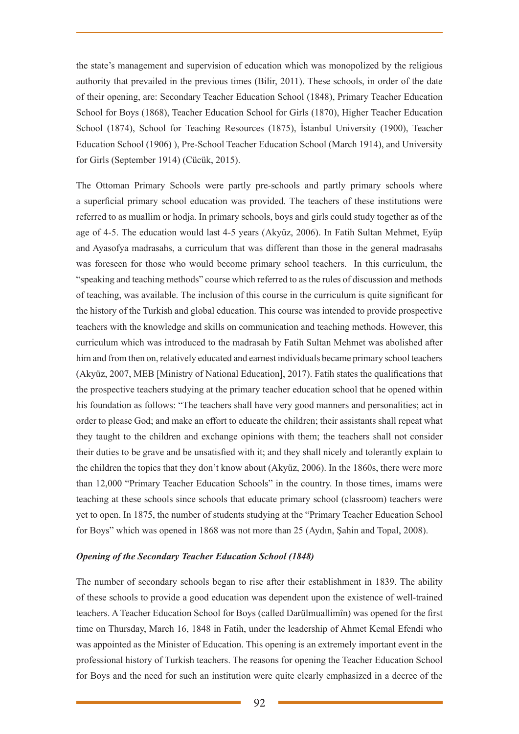the state's management and supervision of education which was monopolized by the religious authority that prevailed in the previous times (Bilir, 2011). These schools, in order of the date of their opening, are: Secondary Teacher Education School (1848), Primary Teacher Education School for Boys (1868), Teacher Education School for Girls (1870), Higher Teacher Education School (1874), School for Teaching Resources (1875), İstanbul University (1900), Teacher Education School (1906) ), Pre-School Teacher Education School (March 1914), and University for Girls (September 1914) (Cücük, 2015).

The Ottoman Primary Schools were partly pre-schools and partly primary schools where a superficial primary school education was provided. The teachers of these institutions were referred to as muallim or hodja. In primary schools, boys and girls could study together as of the age of 4-5. The education would last 4-5 years (Akyüz, 2006). In Fatih Sultan Mehmet, Eyüp and Ayasofya madrasahs, a curriculum that was different than those in the general madrasahs was foreseen for those who would become primary school teachers. In this curriculum, the "speaking and teaching methods" course which referred to as the rules of discussion and methods of teaching, was available. The inclusion of this course in the curriculum is quite significant for the history of the Turkish and global education. This course was intended to provide prospective teachers with the knowledge and skills on communication and teaching methods. However, this curriculum which was introduced to the madrasah by Fatih Sultan Mehmet was abolished after him and from then on, relatively educated and earnest individuals became primary school teachers (Akyüz, 2007, MEB [Ministry of National Education], 2017). Fatih states the qualifications that the prospective teachers studying at the primary teacher education school that he opened within his foundation as follows: "The teachers shall have very good manners and personalities; act in order to please God; and make an effort to educate the children; their assistants shall repeat what they taught to the children and exchange opinions with them; the teachers shall not consider their duties to be grave and be unsatisfied with it; and they shall nicely and tolerantly explain to the children the topics that they don't know about (Akyüz, 2006). In the 1860s, there were more than 12,000 "Primary Teacher Education Schools" in the country. In those times, imams were teaching at these schools since schools that educate primary school (classroom) teachers were yet to open. In 1875, the number of students studying at the "Primary Teacher Education School for Boys" which was opened in 1868 was not more than 25 (Aydın, Şahin and Topal, 2008).

## *Opening of the Secondary Teacher Education School (1848)*

The number of secondary schools began to rise after their establishment in 1839. The ability of these schools to provide a good education was dependent upon the existence of well-trained teachers. A Teacher Education School for Boys (called Darülmuallimîn) was opened for the first time on Thursday, March 16, 1848 in Fatih, under the leadership of Ahmet Kemal Efendi who was appointed as the Minister of Education. This opening is an extremely important event in the professional history of Turkish teachers. The reasons for opening the Teacher Education School for Boys and the need for such an institution were quite clearly emphasized in a decree of the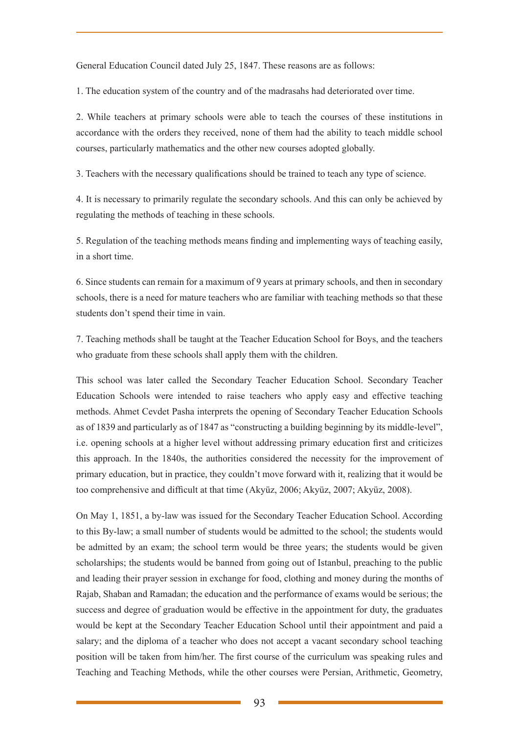General Education Council dated July 25, 1847. These reasons are as follows:

1. The education system of the country and of the madrasahs had deteriorated over time.

2. While teachers at primary schools were able to teach the courses of these institutions in accordance with the orders they received, none of them had the ability to teach middle school courses, particularly mathematics and the other new courses adopted globally.

3. Teachers with the necessary qualifications should be trained to teach any type of science.

4. It is necessary to primarily regulate the secondary schools. And this can only be achieved by regulating the methods of teaching in these schools.

5. Regulation of the teaching methods means finding and implementing ways of teaching easily, in a short time.

6. Since students can remain for a maximum of 9 years at primary schools, and then in secondary schools, there is a need for mature teachers who are familiar with teaching methods so that these students don't spend their time in vain.

7. Teaching methods shall be taught at the Teacher Education School for Boys, and the teachers who graduate from these schools shall apply them with the children.

This school was later called the Secondary Teacher Education School. Secondary Teacher Education Schools were intended to raise teachers who apply easy and effective teaching methods. Ahmet Cevdet Pasha interprets the opening of Secondary Teacher Education Schools as of 1839 and particularly as of 1847 as "constructing a building beginning by its middle-level", i.e. opening schools at a higher level without addressing primary education first and criticizes this approach. In the 1840s, the authorities considered the necessity for the improvement of primary education, but in practice, they couldn't move forward with it, realizing that it would be too comprehensive and difficult at that time (Akyüz, 2006; Akyüz, 2007; Akyüz, 2008).

On May 1, 1851, a by-law was issued for the Secondary Teacher Education School. According to this By-law; a small number of students would be admitted to the school; the students would be admitted by an exam; the school term would be three years; the students would be given scholarships; the students would be banned from going out of Istanbul, preaching to the public and leading their prayer session in exchange for food, clothing and money during the months of Rajab, Shaban and Ramadan; the education and the performance of exams would be serious; the success and degree of graduation would be effective in the appointment for duty, the graduates would be kept at the Secondary Teacher Education School until their appointment and paid a salary; and the diploma of a teacher who does not accept a vacant secondary school teaching position will be taken from him/her. The first course of the curriculum was speaking rules and Teaching and Teaching Methods, while the other courses were Persian, Arithmetic, Geometry,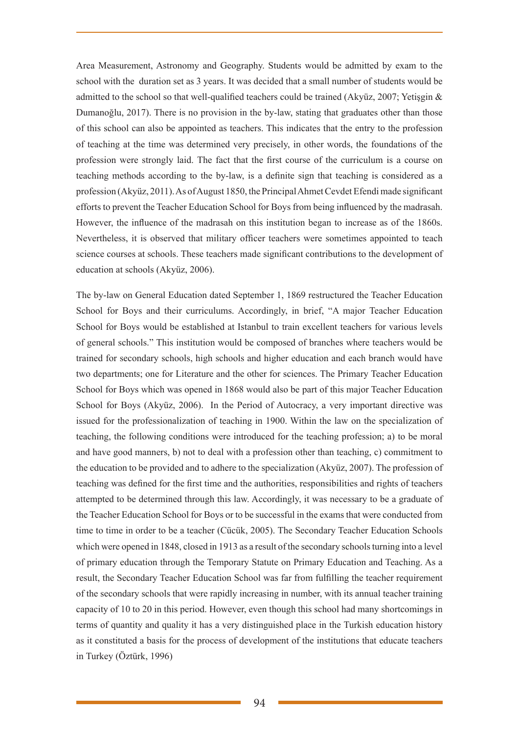Area Measurement, Astronomy and Geography. Students would be admitted by exam to the school with the duration set as 3 years. It was decided that a small number of students would be admitted to the school so that well-qualified teachers could be trained (Akyüz, 2007; Yetişgin & Dumanoğlu, 2017). There is no provision in the by-law, stating that graduates other than those of this school can also be appointed as teachers. This indicates that the entry to the profession of teaching at the time was determined very precisely, in other words, the foundations of the profession were strongly laid. The fact that the first course of the curriculum is a course on teaching methods according to the by-law, is a definite sign that teaching is considered as a profession (Akyüz, 2011). As of August 1850, the Principal Ahmet Cevdet Efendi made significant efforts to prevent the Teacher Education School for Boys from being influenced by the madrasah. However, the influence of the madrasah on this institution began to increase as of the 1860s. Nevertheless, it is observed that military officer teachers were sometimes appointed to teach science courses at schools. These teachers made significant contributions to the development of education at schools (Akyüz, 2006).

The by-law on General Education dated September 1, 1869 restructured the Teacher Education School for Boys and their curriculums. Accordingly, in brief, "A major Teacher Education School for Boys would be established at Istanbul to train excellent teachers for various levels of general schools." This institution would be composed of branches where teachers would be trained for secondary schools, high schools and higher education and each branch would have two departments; one for Literature and the other for sciences. The Primary Teacher Education School for Boys which was opened in 1868 would also be part of this major Teacher Education School for Boys (Akyüz, 2006). In the Period of Autocracy, a very important directive was issued for the professionalization of teaching in 1900. Within the law on the specialization of teaching, the following conditions were introduced for the teaching profession; a) to be moral and have good manners, b) not to deal with a profession other than teaching, c) commitment to the education to be provided and to adhere to the specialization (Akyüz, 2007). The profession of teaching was defined for the first time and the authorities, responsibilities and rights of teachers attempted to be determined through this law. Accordingly, it was necessary to be a graduate of the Teacher Education School for Boys or to be successful in the exams that were conducted from time to time in order to be a teacher (Cücük, 2005). The Secondary Teacher Education Schools which were opened in 1848, closed in 1913 as a result of the secondary schools turning into a level of primary education through the Temporary Statute on Primary Education and Teaching. As a result, the Secondary Teacher Education School was far from fulfilling the teacher requirement of the secondary schools that were rapidly increasing in number, with its annual teacher training capacity of 10 to 20 in this period. However, even though this school had many shortcomings in terms of quantity and quality it has a very distinguished place in the Turkish education history as it constituted a basis for the process of development of the institutions that educate teachers in Turkey (Öztürk, 1996)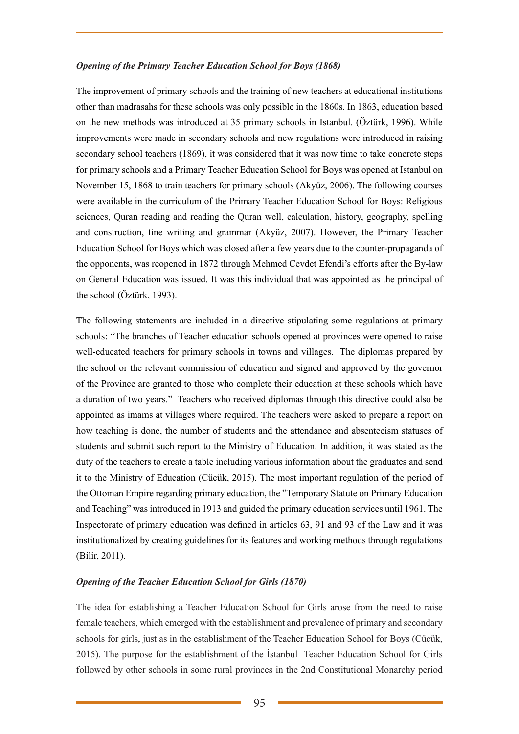### *Opening of the Primary Teacher Education School for Boys (1868)*

The improvement of primary schools and the training of new teachers at educational institutions other than madrasahs for these schools was only possible in the 1860s. In 1863, education based on the new methods was introduced at 35 primary schools in Istanbul. (Öztürk, 1996). While improvements were made in secondary schools and new regulations were introduced in raising secondary school teachers (1869), it was considered that it was now time to take concrete steps for primary schools and a Primary Teacher Education School for Boys was opened at Istanbul on November 15, 1868 to train teachers for primary schools (Akyüz, 2006). The following courses were available in the curriculum of the Primary Teacher Education School for Boys: Religious sciences, Quran reading and reading the Quran well, calculation, history, geography, spelling and construction, fine writing and grammar (Akyüz, 2007). However, the Primary Teacher Education School for Boys which was closed after a few years due to the counter-propaganda of the opponents, was reopened in 1872 through Mehmed Cevdet Efendi's efforts after the By-law on General Education was issued. It was this individual that was appointed as the principal of the school (Öztürk, 1993).

The following statements are included in a directive stipulating some regulations at primary schools: "The branches of Teacher education schools opened at provinces were opened to raise well-educated teachers for primary schools in towns and villages. The diplomas prepared by the school or the relevant commission of education and signed and approved by the governor of the Province are granted to those who complete their education at these schools which have a duration of two years." Teachers who received diplomas through this directive could also be appointed as imams at villages where required. The teachers were asked to prepare a report on how teaching is done, the number of students and the attendance and absenteeism statuses of students and submit such report to the Ministry of Education. In addition, it was stated as the duty of the teachers to create a table including various information about the graduates and send it to the Ministry of Education (Cücük, 2015). The most important regulation of the period of the Ottoman Empire regarding primary education, the "Temporary Statute on Primary Education and Teaching" was introduced in 1913 and guided the primary education services until 1961. The Inspectorate of primary education was defined in articles 63, 91 and 93 of the Law and it was institutionalized by creating guidelines for its features and working methods through regulations (Bilir, 2011).

## *Opening of the Teacher Education School for Girls (1870)*

The idea for establishing a Teacher Education School for Girls arose from the need to raise female teachers, which emerged with the establishment and prevalence of primary and secondary schools for girls, just as in the establishment of the Teacher Education School for Boys (Cücük, 2015). The purpose for the establishment of the İstanbul Teacher Education School for Girls followed by other schools in some rural provinces in the 2nd Constitutional Monarchy period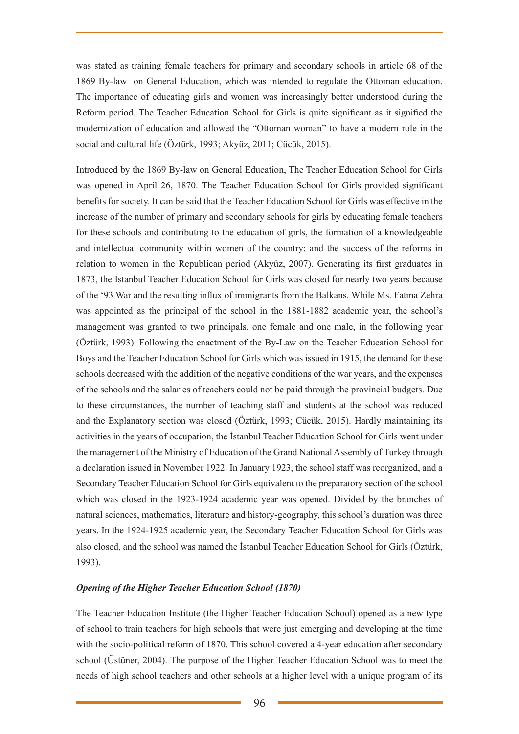was stated as training female teachers for primary and secondary schools in article 68 of the 1869 By-law on General Education, which was intended to regulate the Ottoman education. The importance of educating girls and women was increasingly better understood during the Reform period. The Teacher Education School for Girls is quite significant as it signified the modernization of education and allowed the "Ottoman woman" to have a modern role in the social and cultural life (Öztürk, 1993; Akyüz, 2011; Cücük, 2015).

Introduced by the 1869 By-law on General Education, The Teacher Education School for Girls was opened in April 26, 1870. The Teacher Education School for Girls provided significant benefits for society. It can be said that the Teacher Education School for Girls was effective in the increase of the number of primary and secondary schools for girls by educating female teachers for these schools and contributing to the education of girls, the formation of a knowledgeable and intellectual community within women of the country; and the success of the reforms in relation to women in the Republican period (Akyüz, 2007). Generating its first graduates in 1873, the İstanbul Teacher Education School for Girls was closed for nearly two years because of the '93 War and the resulting influx of immigrants from the Balkans. While Ms. Fatma Zehra was appointed as the principal of the school in the 1881-1882 academic year, the school's management was granted to two principals, one female and one male, in the following year (Öztürk, 1993). Following the enactment of the By-Law on the Teacher Education School for Boys and the Teacher Education School for Girls which was issued in 1915, the demand for these schools decreased with the addition of the negative conditions of the war years, and the expenses of the schools and the salaries of teachers could not be paid through the provincial budgets. Due to these circumstances, the number of teaching staff and students at the school was reduced and the Explanatory section was closed (Öztürk, 1993; Cücük, 2015). Hardly maintaining its activities in the years of occupation, the İstanbul Teacher Education School for Girls went under the management of the Ministry of Education of the Grand National Assembly of Turkey through a declaration issued in November 1922. In January 1923, the school staff was reorganized, and a Secondary Teacher Education School for Girls equivalent to the preparatory section of the school which was closed in the 1923-1924 academic year was opened. Divided by the branches of natural sciences, mathematics, literature and history-geography, this school's duration was three years. In the 1924-1925 academic year, the Secondary Teacher Education School for Girls was also closed, and the school was named the İstanbul Teacher Education School for Girls (Öztürk, 1993).

## *Opening of the Higher Teacher Education School (1870)*

The Teacher Education Institute (the Higher Teacher Education School) opened as a new type of school to train teachers for high schools that were just emerging and developing at the time with the socio-political reform of 1870. This school covered a 4-year education after secondary school (Üstüner, 2004). The purpose of the Higher Teacher Education School was to meet the needs of high school teachers and other schools at a higher level with a unique program of its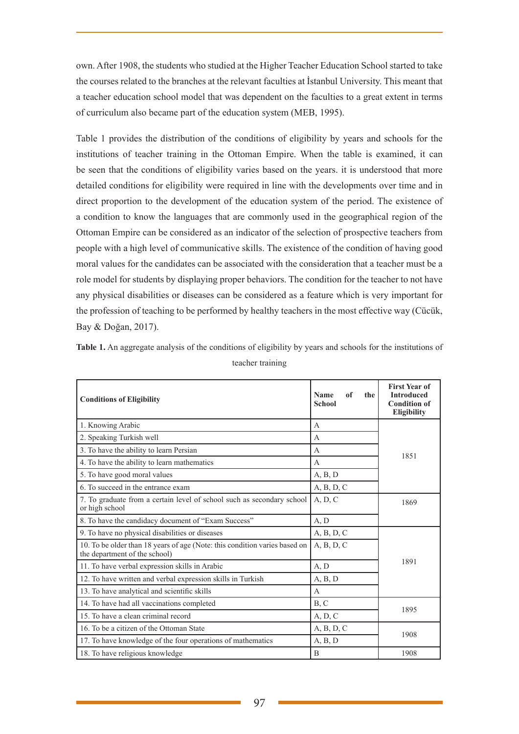own. After 1908, the students who studied at the Higher Teacher Education School started to take the courses related to the branches at the relevant faculties at İstanbul University. This meant that a teacher education school model that was dependent on the faculties to a great extent in terms of curriculum also became part of the education system (MEB, 1995).

Table 1 provides the distribution of the conditions of eligibility by years and schools for the institutions of teacher training in the Ottoman Empire. When the table is examined, it can be seen that the conditions of eligibility varies based on the years. it is understood that more detailed conditions for eligibility were required in line with the developments over time and in direct proportion to the development of the education system of the period. The existence of a condition to know the languages that are commonly used in the geographical region of the Ottoman Empire can be considered as an indicator of the selection of prospective teachers from people with a high level of communicative skills. The existence of the condition of having good moral values for the candidates can be associated with the consideration that a teacher must be a role model for students by displaying proper behaviors. The condition for the teacher to not have any physical disabilities or diseases can be considered as a feature which is very important for the profession of teaching to be performed by healthy teachers in the most effective way (Cücük, Bay & Doğan, 2017).

| <b>Conditions of Eligibility</b>                                                                            | of<br><b>Name</b><br>the<br><b>School</b> | <b>First Year of</b><br><b>Introduced</b><br><b>Condition of</b><br><b>Eligibility</b> |  |  |  |  |
|-------------------------------------------------------------------------------------------------------------|-------------------------------------------|----------------------------------------------------------------------------------------|--|--|--|--|
| 1. Knowing Arabic                                                                                           | A                                         |                                                                                        |  |  |  |  |
| 2. Speaking Turkish well                                                                                    | A                                         |                                                                                        |  |  |  |  |
| 3. To have the ability to learn Persian                                                                     | $\overline{A}$                            | 1851                                                                                   |  |  |  |  |
| 4. To have the ability to learn mathematics                                                                 | $\mathsf{A}$                              |                                                                                        |  |  |  |  |
| 5. To have good moral values                                                                                | A, B, D                                   |                                                                                        |  |  |  |  |
| 6. To succeed in the entrance exam                                                                          | A, B, D, C                                |                                                                                        |  |  |  |  |
| 7. To graduate from a certain level of school such as secondary school<br>or high school                    | A, D, C                                   | 1869                                                                                   |  |  |  |  |
| 8. To have the candidacy document of "Exam Success"                                                         | A, D                                      |                                                                                        |  |  |  |  |
| 9. To have no physical disabilities or diseases                                                             | A, B, D, C                                |                                                                                        |  |  |  |  |
| 10. To be older than 18 years of age (Note: this condition varies based on<br>the department of the school) | A, B, D, C                                |                                                                                        |  |  |  |  |
| 11. To have verbal expression skills in Arabic                                                              | A, D                                      | 1891                                                                                   |  |  |  |  |
| 12. To have written and verbal expression skills in Turkish                                                 | A, B, D                                   |                                                                                        |  |  |  |  |
| 13. To have analytical and scientific skills                                                                | $\overline{A}$                            |                                                                                        |  |  |  |  |
| 14. To have had all vaccinations completed                                                                  | B, C                                      | 1895                                                                                   |  |  |  |  |
| 15. To have a clean criminal record                                                                         | A, D, C                                   |                                                                                        |  |  |  |  |
| 16. To be a citizen of the Ottoman State                                                                    | A, B, D, C                                | 1908                                                                                   |  |  |  |  |
| 17. To have knowledge of the four operations of mathematics                                                 | A, B, D                                   |                                                                                        |  |  |  |  |
| 18. To have religious knowledge                                                                             | B                                         | 1908                                                                                   |  |  |  |  |

**Table 1.** An aggregate analysis of the conditions of eligibility by years and schools for the institutions of teacher training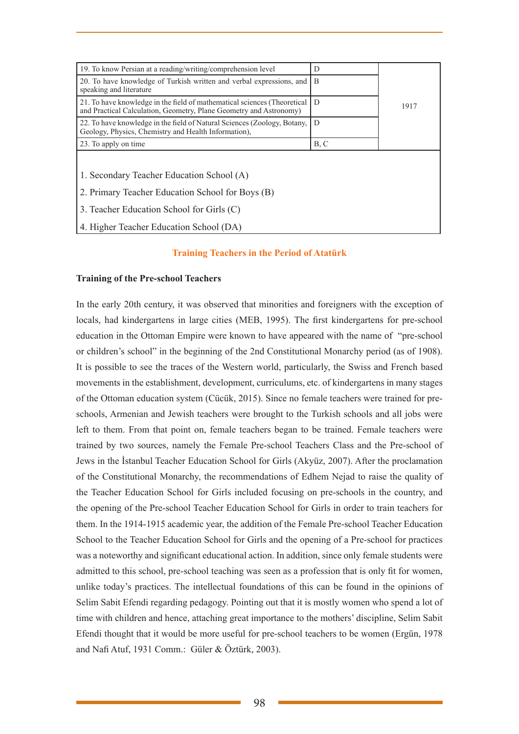| 19. To know Persian at a reading/writing/comprehension level                                                                                   | D    |      |  |  |  |  |  |
|------------------------------------------------------------------------------------------------------------------------------------------------|------|------|--|--|--|--|--|
| 20. To have knowledge of Turkish written and verbal expressions, and<br>speaking and literature                                                |      |      |  |  |  |  |  |
| 21. To have knowledge in the field of mathematical sciences (Theoretical<br>and Practical Calculation, Geometry, Plane Geometry and Astronomy) | D    | 1917 |  |  |  |  |  |
| 22. To have knowledge in the field of Natural Sciences (Zoology, Botany,<br>Geology, Physics, Chemistry and Health Information),               | D    |      |  |  |  |  |  |
| 23. To apply on time                                                                                                                           | B, C |      |  |  |  |  |  |
|                                                                                                                                                |      |      |  |  |  |  |  |
| 1. Secondary Teacher Education School (A)                                                                                                      |      |      |  |  |  |  |  |
| 2. Primary Teacher Education School for Boys (B)                                                                                               |      |      |  |  |  |  |  |
| 3. Teacher Education School for Girls (C)                                                                                                      |      |      |  |  |  |  |  |
| 4. Higher Teacher Education School (DA)                                                                                                        |      |      |  |  |  |  |  |

## **Training Teachers in the Period of Atatürk**

#### **Training of the Pre-school Teachers**

In the early 20th century, it was observed that minorities and foreigners with the exception of locals, had kindergartens in large cities (MEB, 1995). The first kindergartens for pre-school education in the Ottoman Empire were known to have appeared with the name of "pre-school or children's school" in the beginning of the 2nd Constitutional Monarchy period (as of 1908). It is possible to see the traces of the Western world, particularly, the Swiss and French based movements in the establishment, development, curriculums, etc. of kindergartens in many stages of the Ottoman education system (Cücük, 2015). Since no female teachers were trained for preschools, Armenian and Jewish teachers were brought to the Turkish schools and all jobs were left to them. From that point on, female teachers began to be trained. Female teachers were trained by two sources, namely the Female Pre-school Teachers Class and the Pre-school of Jews in the İstanbul Teacher Education School for Girls (Akyüz, 2007). After the proclamation of the Constitutional Monarchy, the recommendations of Edhem Nejad to raise the quality of the Teacher Education School for Girls included focusing on pre-schools in the country, and the opening of the Pre-school Teacher Education School for Girls in order to train teachers for them. In the 1914-1915 academic year, the addition of the Female Pre-school Teacher Education School to the Teacher Education School for Girls and the opening of a Pre-school for practices was a noteworthy and significant educational action. In addition, since only female students were admitted to this school, pre-school teaching was seen as a profession that is only fit for women, unlike today's practices. The intellectual foundations of this can be found in the opinions of Selim Sabit Efendi regarding pedagogy. Pointing out that it is mostly women who spend a lot of time with children and hence, attaching great importance to the mothers' discipline, Selim Sabit Efendi thought that it would be more useful for pre-school teachers to be women (Ergün, 1978 and Nafi Atuf, 1931 Comm.: Güler & Öztürk, 2003).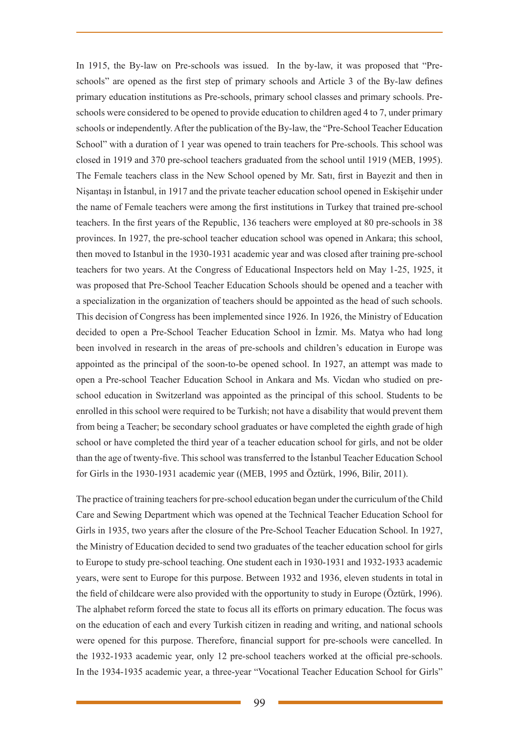In 1915, the By-law on Pre-schools was issued. In the by-law, it was proposed that "Preschools" are opened as the first step of primary schools and Article 3 of the By-law defines primary education institutions as Pre-schools, primary school classes and primary schools. Preschools were considered to be opened to provide education to children aged 4 to 7, under primary schools or independently. After the publication of the By-law, the "Pre-School Teacher Education School" with a duration of 1 year was opened to train teachers for Pre-schools. This school was closed in 1919 and 370 pre-school teachers graduated from the school until 1919 (MEB, 1995). The Female teachers class in the New School opened by Mr. Satı, first in Bayezit and then in Nişantaşı in İstanbul, in 1917 and the private teacher education school opened in Eskişehir under the name of Female teachers were among the first institutions in Turkey that trained pre-school teachers. In the first years of the Republic, 136 teachers were employed at 80 pre-schools in 38 provinces. In 1927, the pre-school teacher education school was opened in Ankara; this school, then moved to Istanbul in the 1930-1931 academic year and was closed after training pre-school teachers for two years. At the Congress of Educational Inspectors held on May 1-25, 1925, it was proposed that Pre-School Teacher Education Schools should be opened and a teacher with a specialization in the organization of teachers should be appointed as the head of such schools. This decision of Congress has been implemented since 1926. In 1926, the Ministry of Education decided to open a Pre-School Teacher Education School in İzmir. Ms. Matya who had long been involved in research in the areas of pre-schools and children's education in Europe was appointed as the principal of the soon-to-be opened school. In 1927, an attempt was made to open a Pre-school Teacher Education School in Ankara and Ms. Vicdan who studied on preschool education in Switzerland was appointed as the principal of this school. Students to be enrolled in this school were required to be Turkish; not have a disability that would prevent them from being a Teacher; be secondary school graduates or have completed the eighth grade of high school or have completed the third year of a teacher education school for girls, and not be older than the age of twenty-five. This school was transferred to the İstanbul Teacher Education School for Girls in the 1930-1931 academic year ((MEB, 1995 and Öztürk, 1996, Bilir, 2011).

The practice of training teachers for pre-school education began under the curriculum of the Child Care and Sewing Department which was opened at the Technical Teacher Education School for Girls in 1935, two years after the closure of the Pre-School Teacher Education School. In 1927, the Ministry of Education decided to send two graduates of the teacher education school for girls to Europe to study pre-school teaching. One student each in 1930-1931 and 1932-1933 academic years, were sent to Europe for this purpose. Between 1932 and 1936, eleven students in total in the field of childcare were also provided with the opportunity to study in Europe (Öztürk, 1996). The alphabet reform forced the state to focus all its efforts on primary education. The focus was on the education of each and every Turkish citizen in reading and writing, and national schools were opened for this purpose. Therefore, financial support for pre-schools were cancelled. In the 1932-1933 academic year, only 12 pre-school teachers worked at the official pre-schools. In the 1934-1935 academic year, a three-year "Vocational Teacher Education School for Girls"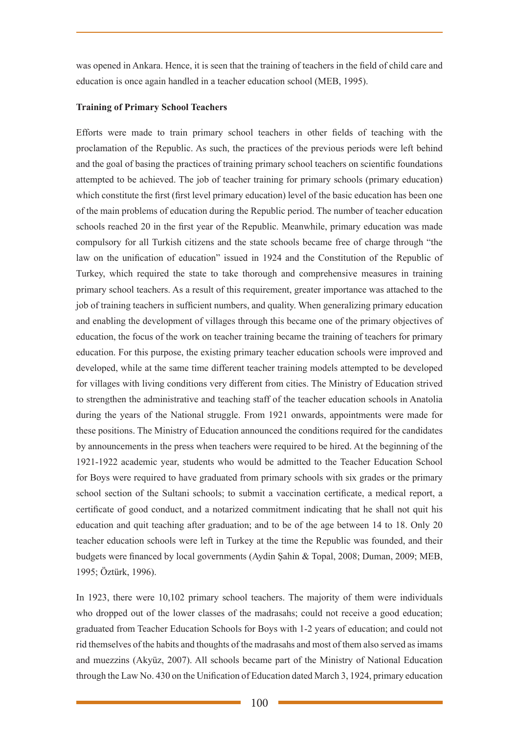was opened in Ankara. Hence, it is seen that the training of teachers in the field of child care and education is once again handled in a teacher education school (MEB, 1995).

## **Training of Primary School Teachers**

Efforts were made to train primary school teachers in other fields of teaching with the proclamation of the Republic. As such, the practices of the previous periods were left behind and the goal of basing the practices of training primary school teachers on scientific foundations attempted to be achieved. The job of teacher training for primary schools (primary education) which constitute the first (first level primary education) level of the basic education has been one of the main problems of education during the Republic period. The number of teacher education schools reached 20 in the first year of the Republic. Meanwhile, primary education was made compulsory for all Turkish citizens and the state schools became free of charge through "the law on the unification of education" issued in 1924 and the Constitution of the Republic of Turkey, which required the state to take thorough and comprehensive measures in training primary school teachers. As a result of this requirement, greater importance was attached to the job of training teachers in sufficient numbers, and quality. When generalizing primary education and enabling the development of villages through this became one of the primary objectives of education, the focus of the work on teacher training became the training of teachers for primary education. For this purpose, the existing primary teacher education schools were improved and developed, while at the same time different teacher training models attempted to be developed for villages with living conditions very different from cities. The Ministry of Education strived to strengthen the administrative and teaching staff of the teacher education schools in Anatolia during the years of the National struggle. From 1921 onwards, appointments were made for these positions. The Ministry of Education announced the conditions required for the candidates by announcements in the press when teachers were required to be hired. At the beginning of the 1921-1922 academic year, students who would be admitted to the Teacher Education School for Boys were required to have graduated from primary schools with six grades or the primary school section of the Sultani schools; to submit a vaccination certificate, a medical report, a certificate of good conduct, and a notarized commitment indicating that he shall not quit his education and quit teaching after graduation; and to be of the age between 14 to 18. Only 20 teacher education schools were left in Turkey at the time the Republic was founded, and their budgets were financed by local governments (Aydin Şahin & Topal, 2008; Duman, 2009; MEB, 1995; Öztürk, 1996).

In 1923, there were 10,102 primary school teachers. The majority of them were individuals who dropped out of the lower classes of the madrasahs; could not receive a good education; graduated from Teacher Education Schools for Boys with 1-2 years of education; and could not rid themselves of the habits and thoughts of the madrasahs and most of them also served as imams and muezzins (Akyüz, 2007). All schools became part of the Ministry of National Education through the Law No. 430 on the Unification of Education dated March 3, 1924, primary education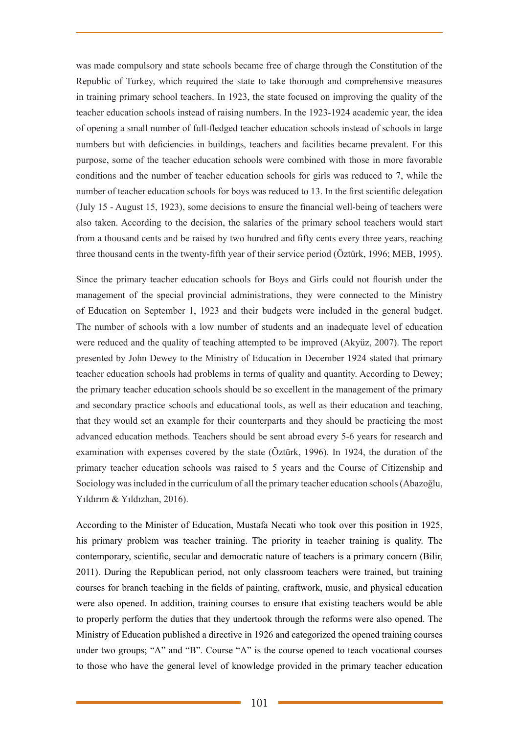was made compulsory and state schools became free of charge through the Constitution of the Republic of Turkey, which required the state to take thorough and comprehensive measures in training primary school teachers. In 1923, the state focused on improving the quality of the teacher education schools instead of raising numbers. In the 1923-1924 academic year, the idea of opening a small number of full-fledged teacher education schools instead of schools in large numbers but with deficiencies in buildings, teachers and facilities became prevalent. For this purpose, some of the teacher education schools were combined with those in more favorable conditions and the number of teacher education schools for girls was reduced to 7, while the number of teacher education schools for boys was reduced to 13. In the first scientific delegation (July 15 - August 15, 1923), some decisions to ensure the financial well-being of teachers were also taken. According to the decision, the salaries of the primary school teachers would start from a thousand cents and be raised by two hundred and fifty cents every three years, reaching three thousand cents in the twenty-fifth year of their service period (Öztürk, 1996; MEB, 1995).

Since the primary teacher education schools for Boys and Girls could not flourish under the management of the special provincial administrations, they were connected to the Ministry of Education on September 1, 1923 and their budgets were included in the general budget. The number of schools with a low number of students and an inadequate level of education were reduced and the quality of teaching attempted to be improved (Akyüz, 2007). The report presented by John Dewey to the Ministry of Education in December 1924 stated that primary teacher education schools had problems in terms of quality and quantity. According to Dewey; the primary teacher education schools should be so excellent in the management of the primary and secondary practice schools and educational tools, as well as their education and teaching, that they would set an example for their counterparts and they should be practicing the most advanced education methods. Teachers should be sent abroad every 5-6 years for research and examination with expenses covered by the state (Öztürk, 1996). In 1924, the duration of the primary teacher education schools was raised to 5 years and the Course of Citizenship and Sociology was included in the curriculum of all the primary teacher education schools (Abazoğlu, Yıldırım & Yıldızhan, 2016).

According to the Minister of Education, Mustafa Necati who took over this position in 1925, his primary problem was teacher training. The priority in teacher training is quality. The contemporary, scientific, secular and democratic nature of teachers is a primary concern (Bilir, 2011). During the Republican period, not only classroom teachers were trained, but training courses for branch teaching in the fields of painting, craftwork, music, and physical education were also opened. In addition, training courses to ensure that existing teachers would be able to properly perform the duties that they undertook through the reforms were also opened. The Ministry of Education published a directive in 1926 and categorized the opened training courses under two groups; "A" and "B". Course "A" is the course opened to teach vocational courses to those who have the general level of knowledge provided in the primary teacher education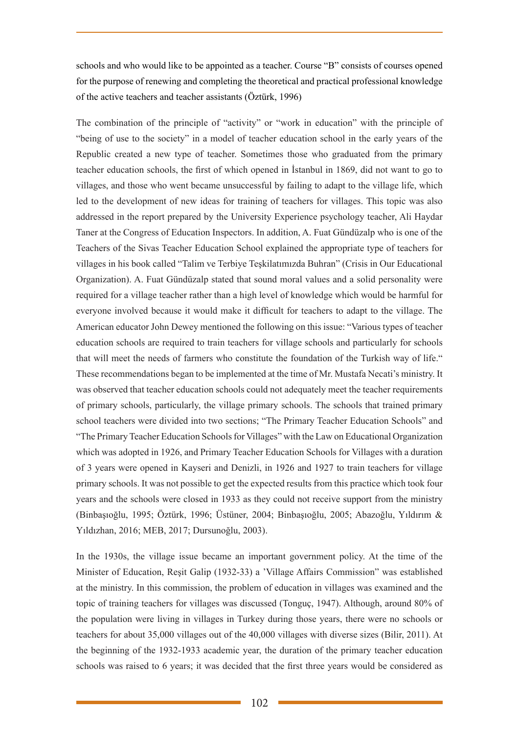schools and who would like to be appointed as a teacher. Course "B" consists of courses opened for the purpose of renewing and completing the theoretical and practical professional knowledge of the active teachers and teacher assistants (Öztürk, 1996)

The combination of the principle of "activity" or "work in education" with the principle of "being of use to the society" in a model of teacher education school in the early years of the Republic created a new type of teacher. Sometimes those who graduated from the primary teacher education schools, the first of which opened in İstanbul in 1869, did not want to go to villages, and those who went became unsuccessful by failing to adapt to the village life, which led to the development of new ideas for training of teachers for villages. This topic was also addressed in the report prepared by the University Experience psychology teacher, Ali Haydar Taner at the Congress of Education Inspectors. In addition, A. Fuat Gündüzalp who is one of the Teachers of the Sivas Teacher Education School explained the appropriate type of teachers for villages in his book called "Talim ve Terbiye Teşkilatımızda Buhran" (Crisis in Our Educational Organization). A. Fuat Gündüzalp stated that sound moral values and a solid personality were required for a village teacher rather than a high level of knowledge which would be harmful for everyone involved because it would make it difficult for teachers to adapt to the village. The American educator John Dewey mentioned the following on this issue: "Various types of teacher education schools are required to train teachers for village schools and particularly for schools that will meet the needs of farmers who constitute the foundation of the Turkish way of life." These recommendations began to be implemented at the time of Mr. Mustafa Necati's ministry. It was observed that teacher education schools could not adequately meet the teacher requirements of primary schools, particularly, the village primary schools. The schools that trained primary school teachers were divided into two sections; "The Primary Teacher Education Schools" and "The Primary Teacher Education Schools for Villages" with the Law on Educational Organization which was adopted in 1926, and Primary Teacher Education Schools for Villages with a duration of 3 years were opened in Kayseri and Denizli, in 1926 and 1927 to train teachers for village primary schools. It was not possible to get the expected results from this practice which took four years and the schools were closed in 1933 as they could not receive support from the ministry (Binbaşıoğlu, 1995; Öztürk, 1996; Üstüner, 2004; Binbaşıoğlu, 2005; Abazoğlu, Yıldırım & Yıldızhan, 2016; MEB, 2017; Dursunoğlu, 2003).

In the 1930s, the village issue became an important government policy. At the time of the Minister of Education, Reşit Galip (1932-33) a 'Village Affairs Commission" was established at the ministry. In this commission, the problem of education in villages was examined and the topic of training teachers for villages was discussed (Tonguç, 1947). Although, around 80% of the population were living in villages in Turkey during those years, there were no schools or teachers for about 35,000 villages out of the 40,000 villages with diverse sizes (Bilir, 2011). At the beginning of the 1932-1933 academic year, the duration of the primary teacher education schools was raised to 6 years; it was decided that the first three years would be considered as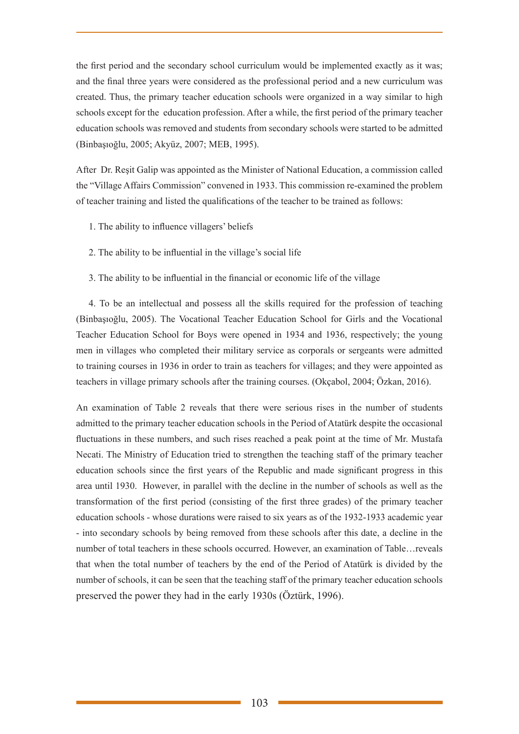the first period and the secondary school curriculum would be implemented exactly as it was; and the final three years were considered as the professional period and a new curriculum was created. Thus, the primary teacher education schools were organized in a way similar to high schools except for the education profession. After a while, the first period of the primary teacher education schools was removed and students from secondary schools were started to be admitted (Binbaşıoğlu, 2005; Akyüz, 2007; MEB, 1995).

After Dr. Reşit Galip was appointed as the Minister of National Education, a commission called the "Village Affairs Commission" convened in 1933. This commission re-examined the problem of teacher training and listed the qualifications of the teacher to be trained as follows:

- 1. The ability to influence villagers' beliefs
- 2. The ability to be influential in the village's social life
- 3. The ability to be influential in the financial or economic life of the village

4. To be an intellectual and possess all the skills required for the profession of teaching (Binbaşıoğlu, 2005). The Vocational Teacher Education School for Girls and the Vocational Teacher Education School for Boys were opened in 1934 and 1936, respectively; the young men in villages who completed their military service as corporals or sergeants were admitted to training courses in 1936 in order to train as teachers for villages; and they were appointed as teachers in village primary schools after the training courses. (Okçabol, 2004; Özkan, 2016).

An examination of Table 2 reveals that there were serious rises in the number of students admitted to the primary teacher education schools in the Period of Atatürk despite the occasional fluctuations in these numbers, and such rises reached a peak point at the time of Mr. Mustafa Necati. The Ministry of Education tried to strengthen the teaching staff of the primary teacher education schools since the first years of the Republic and made significant progress in this area until 1930. However, in parallel with the decline in the number of schools as well as the transformation of the first period (consisting of the first three grades) of the primary teacher education schools - whose durations were raised to six years as of the 1932-1933 academic year - into secondary schools by being removed from these schools after this date, a decline in the number of total teachers in these schools occurred. However, an examination of Table…reveals that when the total number of teachers by the end of the Period of Atatürk is divided by the number of schools, it can be seen that the teaching staff of the primary teacher education schools preserved the power they had in the early 1930s (Öztürk, 1996).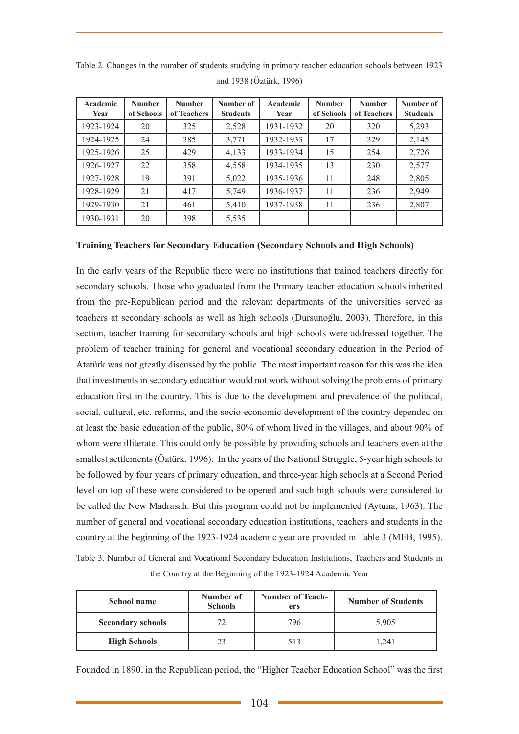| Academic<br>Year | <b>Number</b><br>of Schools | <b>Number</b><br>of Teachers | Number of<br><b>Students</b> | Academic<br>Year | <b>Number</b><br>of Schools | <b>Number</b><br>of Teachers | Number of<br><b>Students</b> |
|------------------|-----------------------------|------------------------------|------------------------------|------------------|-----------------------------|------------------------------|------------------------------|
| 1923-1924        | 20                          | 325                          | 2,528                        | 1931-1932        | 20                          | 320                          | 5,293                        |
| 1924-1925        | 24                          | 385                          | 3,771                        | 1932-1933        | 17                          | 329                          | 2,145                        |
| 1925-1926        | 25                          | 429                          | 4,133                        | 1933-1934        | 15                          | 254                          | 2,726                        |
| 1926-1927        | 22                          | 358                          | 4,558                        | 1934-1935        | 13                          | 230                          | 2,577                        |
| 1927-1928        | 19                          | 391                          | 5,022                        | 1935-1936        | 11                          | 248                          | 2,805                        |
| 1928-1929        | 21                          | 417                          | 5,749                        | 1936-1937        | 11                          | 236                          | 2,949                        |
| 1929-1930        | 21                          | 461                          | 5,410                        | 1937-1938        | 11                          | 236                          | 2,807                        |
| 1930-1931        | 20                          | 398                          | 5,535                        |                  |                             |                              |                              |

Table 2. Changes in the number of students studying in primary teacher education schools between 1923 and 1938 (Öztürk, 1996)

## **Training Teachers for Secondary Education (Secondary Schools and High Schools)**

In the early years of the Republic there were no institutions that trained teachers directly for secondary schools. Those who graduated from the Primary teacher education schools inherited from the pre-Republican period and the relevant departments of the universities served as teachers at secondary schools as well as high schools (Dursunoğlu, 2003). Therefore, in this section, teacher training for secondary schools and high schools were addressed together. The problem of teacher training for general and vocational secondary education in the Period of Atatürk was not greatly discussed by the public. The most important reason for this was the idea that investments in secondary education would not work without solving the problems of primary education first in the country. This is due to the development and prevalence of the political, social, cultural, etc. reforms, and the socio-economic development of the country depended on at least the basic education of the public, 80% of whom lived in the villages, and about 90% of whom were illiterate. This could only be possible by providing schools and teachers even at the smallest settlements (Öztürk, 1996). In the years of the National Struggle, 5-year high schools to be followed by four years of primary education, and three-year high schools at a Second Period level on top of these were considered to be opened and such high schools were considered to be called the New Madrasah. But this program could not be implemented (Aytuna, 1963). The number of general and vocational secondary education institutions, teachers and students in the country at the beginning of the 1923-1924 academic year are provided in Table 3 (MEB, 1995).

Table 3. Number of General and Vocational Secondary Education Institutions, Teachers and Students in the Country at the Beginning of the 1923-1924 Academic Year

| <b>School name</b>       | Number of<br><b>Schools</b> | <b>Number of Teach-</b><br>ers | <b>Number of Students</b> |
|--------------------------|-----------------------------|--------------------------------|---------------------------|
| <b>Secondary schools</b> |                             | 796                            | 5,905                     |
| <b>High Schools</b>      | 23                          |                                | l.241                     |

Founded in 1890, in the Republican period, the "Higher Teacher Education School" was the first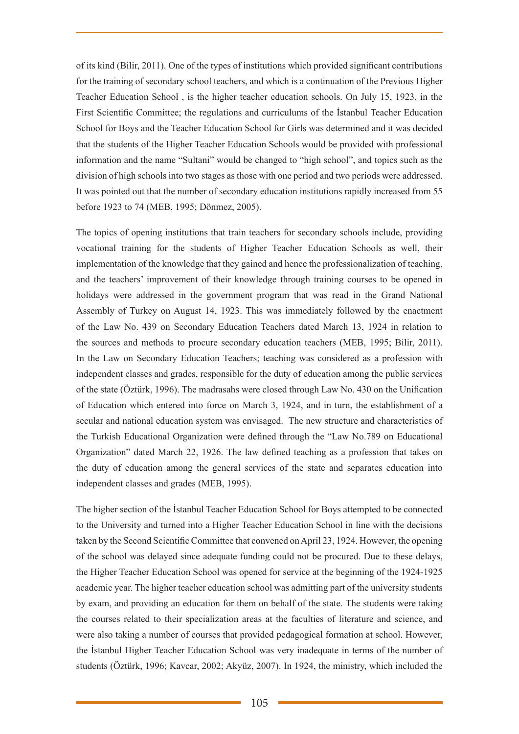of its kind (Bilir, 2011). One of the types of institutions which provided significant contributions for the training of secondary school teachers, and which is a continuation of the Previous Higher Teacher Education School , is the higher teacher education schools. On July 15, 1923, in the First Scientific Committee; the regulations and curriculums of the İstanbul Teacher Education School for Boys and the Teacher Education School for Girls was determined and it was decided that the students of the Higher Teacher Education Schools would be provided with professional information and the name "Sultani" would be changed to "high school", and topics such as the division of high schools into two stages as those with one period and two periods were addressed. It was pointed out that the number of secondary education institutions rapidly increased from 55 before 1923 to 74 (MEB, 1995; Dönmez, 2005).

The topics of opening institutions that train teachers for secondary schools include, providing vocational training for the students of Higher Teacher Education Schools as well, their implementation of the knowledge that they gained and hence the professionalization of teaching, and the teachers' improvement of their knowledge through training courses to be opened in holidays were addressed in the government program that was read in the Grand National Assembly of Turkey on August 14, 1923. This was immediately followed by the enactment of the Law No. 439 on Secondary Education Teachers dated March 13, 1924 in relation to the sources and methods to procure secondary education teachers (MEB, 1995; Bilir, 2011). In the Law on Secondary Education Teachers; teaching was considered as a profession with independent classes and grades, responsible for the duty of education among the public services of the state (Öztürk, 1996). The madrasahs were closed through Law No. 430 on the Unification of Education which entered into force on March 3, 1924, and in turn, the establishment of a secular and national education system was envisaged. The new structure and characteristics of the Turkish Educational Organization were defined through the "Law No.789 on Educational Organization" dated March 22, 1926. The law defined teaching as a profession that takes on the duty of education among the general services of the state and separates education into independent classes and grades (MEB, 1995).

The higher section of the İstanbul Teacher Education School for Boys attempted to be connected to the University and turned into a Higher Teacher Education School in line with the decisions taken by the Second Scientific Committee that convened on April 23, 1924. However, the opening of the school was delayed since adequate funding could not be procured. Due to these delays, the Higher Teacher Education School was opened for service at the beginning of the 1924-1925 academic year. The higher teacher education school was admitting part of the university students by exam, and providing an education for them on behalf of the state. The students were taking the courses related to their specialization areas at the faculties of literature and science, and were also taking a number of courses that provided pedagogical formation at school. However, the İstanbul Higher Teacher Education School was very inadequate in terms of the number of students (Öztürk, 1996; Kavcar, 2002; Akyüz, 2007). In 1924, the ministry, which included the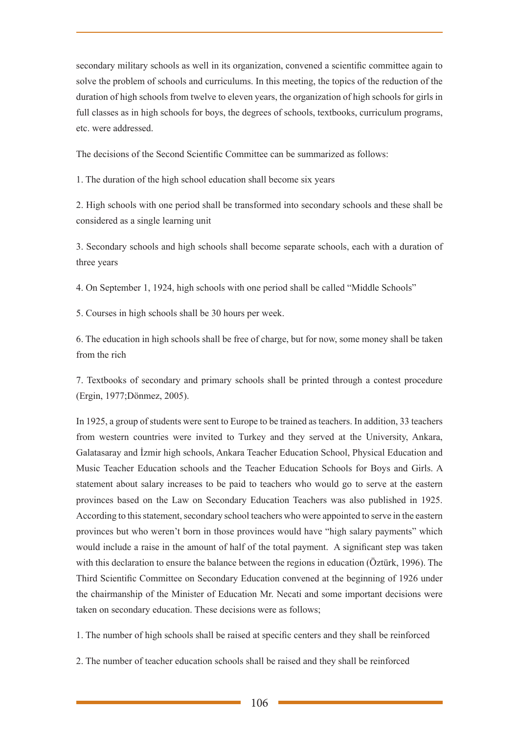secondary military schools as well in its organization, convened a scientific committee again to solve the problem of schools and curriculums. In this meeting, the topics of the reduction of the duration of high schools from twelve to eleven years, the organization of high schools for girls in full classes as in high schools for boys, the degrees of schools, textbooks, curriculum programs, etc. were addressed.

The decisions of the Second Scientific Committee can be summarized as follows:

1. The duration of the high school education shall become six years

2. High schools with one period shall be transformed into secondary schools and these shall be considered as a single learning unit

3. Secondary schools and high schools shall become separate schools, each with a duration of three years

4. On September 1, 1924, high schools with one period shall be called "Middle Schools"

5. Courses in high schools shall be 30 hours per week.

6. The education in high schools shall be free of charge, but for now, some money shall be taken from the rich

7. Textbooks of secondary and primary schools shall be printed through a contest procedure (Ergin, 1977;Dönmez, 2005).

In 1925, a group of students were sent to Europe to be trained as teachers. In addition, 33 teachers from western countries were invited to Turkey and they served at the University, Ankara, Galatasaray and İzmir high schools, Ankara Teacher Education School, Physical Education and Music Teacher Education schools and the Teacher Education Schools for Boys and Girls. A statement about salary increases to be paid to teachers who would go to serve at the eastern provinces based on the Law on Secondary Education Teachers was also published in 1925. According to this statement, secondary school teachers who were appointed to serve in the eastern provinces but who weren't born in those provinces would have "high salary payments" which would include a raise in the amount of half of the total payment. A significant step was taken with this declaration to ensure the balance between the regions in education (Öztürk, 1996). The Third Scientific Committee on Secondary Education convened at the beginning of 1926 under the chairmanship of the Minister of Education Mr. Necati and some important decisions were taken on secondary education. These decisions were as follows;

1. The number of high schools shall be raised at specific centers and they shall be reinforced

2. The number of teacher education schools shall be raised and they shall be reinforced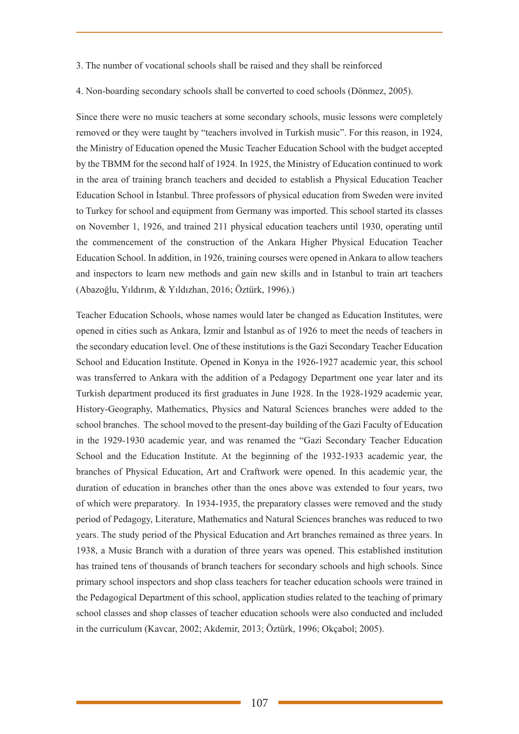- 3. The number of vocational schools shall be raised and they shall be reinforced
- 4. Non-boarding secondary schools shall be converted to coed schools (Dönmez, 2005).

Since there were no music teachers at some secondary schools, music lessons were completely removed or they were taught by "teachers involved in Turkish music". For this reason, in 1924, the Ministry of Education opened the Music Teacher Education School with the budget accepted by the TBMM for the second half of 1924. In 1925, the Ministry of Education continued to work in the area of training branch teachers and decided to establish a Physical Education Teacher Education School in İstanbul. Three professors of physical education from Sweden were invited to Turkey for school and equipment from Germany was imported. This school started its classes on November 1, 1926, and trained 211 physical education teachers until 1930, operating until the commencement of the construction of the Ankara Higher Physical Education Teacher Education School. In addition, in 1926, training courses were opened in Ankara to allow teachers and inspectors to learn new methods and gain new skills and in Istanbul to train art teachers (Abazoğlu, Yıldırım, & Yıldızhan, 2016; Öztürk, 1996).)

Teacher Education Schools, whose names would later be changed as Education Institutes, were opened in cities such as Ankara, İzmir and İstanbul as of 1926 to meet the needs of teachers in the secondary education level. One of these institutions is the Gazi Secondary Teacher Education School and Education Institute. Opened in Konya in the 1926-1927 academic year, this school was transferred to Ankara with the addition of a Pedagogy Department one year later and its Turkish department produced its first graduates in June 1928. In the 1928-1929 academic year, History-Geography, Mathematics, Physics and Natural Sciences branches were added to the school branches. The school moved to the present-day building of the Gazi Faculty of Education in the 1929-1930 academic year, and was renamed the "Gazi Secondary Teacher Education School and the Education Institute. At the beginning of the 1932-1933 academic year, the branches of Physical Education, Art and Craftwork were opened. In this academic year, the duration of education in branches other than the ones above was extended to four years, two of which were preparatory. In 1934-1935, the preparatory classes were removed and the study period of Pedagogy, Literature, Mathematics and Natural Sciences branches was reduced to two years. The study period of the Physical Education and Art branches remained as three years. In 1938, a Music Branch with a duration of three years was opened. This established institution has trained tens of thousands of branch teachers for secondary schools and high schools. Since primary school inspectors and shop class teachers for teacher education schools were trained in the Pedagogical Department of this school, application studies related to the teaching of primary school classes and shop classes of teacher education schools were also conducted and included in the curriculum (Kavcar, 2002; Akdemir, 2013; Öztürk, 1996; Okçabol; 2005).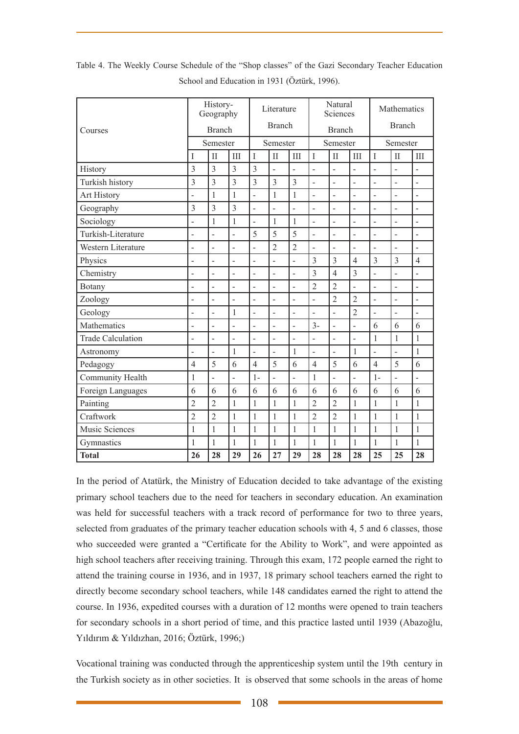|                          | History-<br>Literature<br>Geography<br><b>Branch</b> |                |                | Natural<br>Sciences |                |                | Mathematics<br><b>Branch</b> |                              |                |                |                |                |
|--------------------------|------------------------------------------------------|----------------|----------------|---------------------|----------------|----------------|------------------------------|------------------------------|----------------|----------------|----------------|----------------|
| Courses                  | <b>Branch</b>                                        |                |                |                     |                | <b>Branch</b>  |                              |                              |                |                |                |                |
|                          | Semester                                             |                | Semester       |                     | Semester       |                | Semester                     |                              |                |                |                |                |
|                          | I                                                    | $\mathbf{I}$   | III            | I                   | $\mathbf{I}$   | III            | T                            | $\mathbf{I}$                 | III            | I              | $\mathbf{I}$   | III            |
| History                  | $\overline{3}$                                       | $\overline{3}$ | $\overline{3}$ | $\overline{3}$      | $\overline{a}$ | $\overline{a}$ | $\overline{a}$               | $\overline{a}$               | $\frac{1}{2}$  | $\overline{a}$ | $\overline{a}$ | $\overline{a}$ |
| Turkish history          | $\overline{3}$                                       | $\overline{3}$ | $\overline{3}$ | $\overline{3}$      | $\overline{3}$ | $\overline{3}$ | $\overline{a}$               | $\overline{a}$               | $\overline{a}$ | $\overline{a}$ | $\overline{a}$ | $\overline{a}$ |
| Art History              | $\overline{a}$                                       | $\mathbf{1}$   | $\mathbf{1}$   | $\overline{a}$      | $\mathbf{1}$   | $\mathbf{1}$   | $\overline{a}$               | $\overline{a}$               | $\frac{1}{2}$  | $\overline{a}$ | $\overline{a}$ | $\overline{a}$ |
| Geography                | $\overline{3}$                                       | $\overline{3}$ | $\overline{3}$ | $\overline{a}$      | $\overline{a}$ | $\overline{a}$ | $\overline{a}$               | $\overline{a}$               | $\overline{a}$ | $\overline{a}$ | $\overline{a}$ | $\overline{a}$ |
| Sociology                | $\overline{a}$                                       | $\mathbf{1}$   | $\mathbf{1}$   | $\overline{a}$      | $\mathbf{1}$   | 1              | $\overline{a}$               | $\overline{a}$               | $\overline{a}$ | $\overline{a}$ | $\overline{a}$ | $\overline{a}$ |
| Turkish-Literature       | $\overline{a}$                                       | $\blacksquare$ | $\overline{a}$ | 5                   | 5              | 5              | $\overline{a}$               | $\qquad \qquad \blacksquare$ | $\overline{a}$ | $\overline{a}$ | $\overline{a}$ | $\overline{a}$ |
| Western Literature       | $\overline{a}$                                       | $\overline{a}$ | $\overline{a}$ | $\overline{a}$      | $\overline{2}$ | $\overline{2}$ | $\overline{a}$               | $\overline{a}$               | $\overline{a}$ | $\overline{a}$ | $\overline{a}$ | $\overline{a}$ |
| Physics                  | $\overline{a}$                                       | $\overline{a}$ | $\overline{a}$ | $\overline{a}$      | $\overline{a}$ | $\overline{a}$ | $\overline{3}$               | $\overline{3}$               | $\overline{4}$ | $\overline{3}$ | $\overline{3}$ | $\overline{4}$ |
| Chemistry                | $\overline{a}$                                       | $\overline{a}$ | $\overline{a}$ | $\overline{a}$      | $\overline{a}$ | $\overline{a}$ | $\overline{3}$               | $\overline{4}$               | $\overline{3}$ | $\overline{a}$ | $\overline{a}$ | $\overline{a}$ |
| <b>Botany</b>            | $\overline{a}$                                       | $\overline{a}$ | $\overline{a}$ | $\overline{a}$      | $\overline{a}$ | $\overline{a}$ | $\overline{2}$               | $\overline{2}$               | $\overline{a}$ | $\overline{a}$ | $\overline{a}$ | $\overline{a}$ |
| Zoology                  | $\overline{a}$                                       | $\blacksquare$ | $\overline{a}$ | $\overline{a}$      | $\overline{a}$ | $\overline{a}$ | $\blacksquare$               | $\overline{2}$               | $\overline{2}$ | $\overline{a}$ | $\overline{a}$ | $\overline{a}$ |
| Geology                  | $\overline{a}$                                       | $\overline{a}$ | 1              | $\overline{a}$      | $\overline{a}$ | $\overline{a}$ | $\overline{a}$               | $\overline{a}$               | $\overline{2}$ | $\overline{a}$ | $\overline{a}$ | $\overline{a}$ |
| Mathematics              | $\overline{\phantom{0}}$                             | $\overline{a}$ | $\overline{a}$ | $\overline{a}$      | $\overline{a}$ | $\overline{a}$ | $3-$                         | $\overline{a}$               | $\overline{a}$ | 6              | 6              | 6              |
| <b>Trade Calculation</b> | $\overline{a}$                                       | $\overline{a}$ | $\overline{a}$ | $\overline{a}$      | $\overline{a}$ | $\overline{a}$ | $\overline{a}$               | $\overline{a}$               | $\overline{a}$ | $\mathbf{1}$   | 1              | $\mathbf{1}$   |
| Astronomy                | $\overline{a}$                                       | $\overline{a}$ | 1              | $\overline{a}$      | $\overline{a}$ | 1              | $\overline{a}$               | $\overline{a}$               | 1              | $\overline{a}$ | $\overline{a}$ | $\mathbf{1}$   |
| Pedagogy                 | $\overline{4}$                                       | 5              | 6              | $\overline{4}$      | 5              | 6              | $\overline{4}$               | 5                            | 6              | $\overline{4}$ | 5              | 6              |
| Community Health         | $\mathbf{1}$                                         | $\sim$         | $\overline{a}$ | $1-$                | $\overline{a}$ | $\overline{a}$ | $\mathbf{1}$                 | $\overline{a}$               | $\overline{a}$ | $1-$           | $\overline{a}$ | $\overline{a}$ |
| Foreign Languages        | 6                                                    | 6              | 6              | 6                   | 6              | 6              | 6                            | 6                            | 6              | 6              | 6              | 6              |
| Painting                 | $\overline{2}$                                       | $\overline{2}$ | 1              | 1                   | $\mathbf{1}$   | 1              | $\overline{2}$               | $\overline{2}$               | 1              | $\mathbf{1}$   | $\mathbf{1}$   | $\mathbf{1}$   |
| Craftwork                | $\overline{2}$                                       | $\overline{2}$ | 1              | 1                   | $\mathbf{1}$   | $\mathbf{1}$   | $\overline{2}$               | $\overline{2}$               | $\mathbf{1}$   | $\mathbf{1}$   | 1              | $\mathbf{1}$   |
| <b>Music Sciences</b>    | $\mathbf{1}$                                         | $\mathbf{1}$   | $\mathbf{1}$   | 1                   | $\mathbf{1}$   | 1              | 1                            | 1                            | 1              | $\mathbf{1}$   | $\mathbf{1}$   | 1              |
| Gymnastics               | $\mathbf{1}$                                         | 1              | 1              | 1                   | $\mathbf{1}$   | $\mathbf{1}$   | 1                            | $\mathbf{1}$                 | 1              | $\mathbf{1}$   | $\mathbf{1}$   | $\mathbf{1}$   |
| <b>Total</b>             | 26                                                   | 28             | 29             | 26                  | 27             | 29             | 28                           | 28                           | 28             | 25             | 25             | 28             |

Table 4. The Weekly Course Schedule of the "Shop classes" of the Gazi Secondary Teacher Education School and Education in 1931 (Öztürk, 1996).

In the period of Atatürk, the Ministry of Education decided to take advantage of the existing primary school teachers due to the need for teachers in secondary education. An examination was held for successful teachers with a track record of performance for two to three years, selected from graduates of the primary teacher education schools with 4, 5 and 6 classes, those who succeeded were granted a "Certificate for the Ability to Work", and were appointed as high school teachers after receiving training. Through this exam, 172 people earned the right to attend the training course in 1936, and in 1937, 18 primary school teachers earned the right to directly become secondary school teachers, while 148 candidates earned the right to attend the course. In 1936, expedited courses with a duration of 12 months were opened to train teachers for secondary schools in a short period of time, and this practice lasted until 1939 (Abazoğlu, Yıldırım & Yıldızhan, 2016; Öztürk, 1996;)

Vocational training was conducted through the apprenticeship system until the 19th century in the Turkish society as in other societies. It is observed that some schools in the areas of home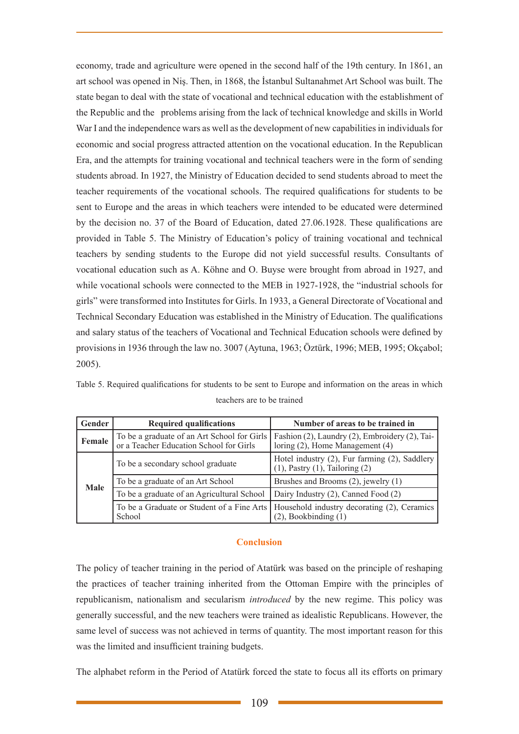economy, trade and agriculture were opened in the second half of the 19th century. In 1861, an art school was opened in Niş. Then, in 1868, the İstanbul Sultanahmet Art School was built. The state began to deal with the state of vocational and technical education with the establishment of the Republic and the problems arising from the lack of technical knowledge and skills in World War I and the independence wars as well as the development of new capabilities in individuals for economic and social progress attracted attention on the vocational education. In the Republican Era, and the attempts for training vocational and technical teachers were in the form of sending students abroad. In 1927, the Ministry of Education decided to send students abroad to meet the teacher requirements of the vocational schools. The required qualifications for students to be sent to Europe and the areas in which teachers were intended to be educated were determined by the decision no. 37 of the Board of Education, dated 27.06.1928. These qualifications are provided in Table 5. The Ministry of Education's policy of training vocational and technical teachers by sending students to the Europe did not yield successful results. Consultants of vocational education such as A. Köhne and O. Buyse were brought from abroad in 1927, and while vocational schools were connected to the MEB in 1927-1928, the "industrial schools for girls" were transformed into Institutes for Girls. In 1933, a General Directorate of Vocational and Technical Secondary Education was established in the Ministry of Education. The qualifications and salary status of the teachers of Vocational and Technical Education schools were defined by provisions in 1936 through the law no. 3007 (Aytuna, 1963; Öztürk, 1996; MEB, 1995; Okçabol; 2005).

| Gender      | <b>Required qualifications</b>                                                         | Number of areas to be trained in                                                        |
|-------------|----------------------------------------------------------------------------------------|-----------------------------------------------------------------------------------------|
| Female      | To be a graduate of an Art School for Girls<br>or a Teacher Education School for Girls | Fashion (2), Laundry (2), Embroidery (2), Tai-<br>loring (2), Home Management (4)       |
|             | To be a secondary school graduate                                                      | Hotel industry (2), Fur farming (2), Saddlery<br>$(1)$ , Pastry $(1)$ , Tailoring $(2)$ |
| <b>Male</b> | To be a graduate of an Art School                                                      | Brushes and Brooms (2), jewelry (1)                                                     |
|             | To be a graduate of an Agricultural School                                             | Dairy Industry (2), Canned Food (2)                                                     |
|             | To be a Graduate or Student of a Fine Arts<br>School                                   | Household industry decorating (2), Ceramics<br>$(2)$ , Bookbinding $(1)$                |

Table 5. Required qualifications for students to be sent to Europe and information on the areas in which teachers are to be trained

## **Conclusion**

The policy of teacher training in the period of Atatürk was based on the principle of reshaping the practices of teacher training inherited from the Ottoman Empire with the principles of republicanism, nationalism and secularism *introduced* by the new regime. This policy was generally successful, and the new teachers were trained as idealistic Republicans. However, the same level of success was not achieved in terms of quantity. The most important reason for this was the limited and insufficient training budgets.

The alphabet reform in the Period of Atatürk forced the state to focus all its efforts on primary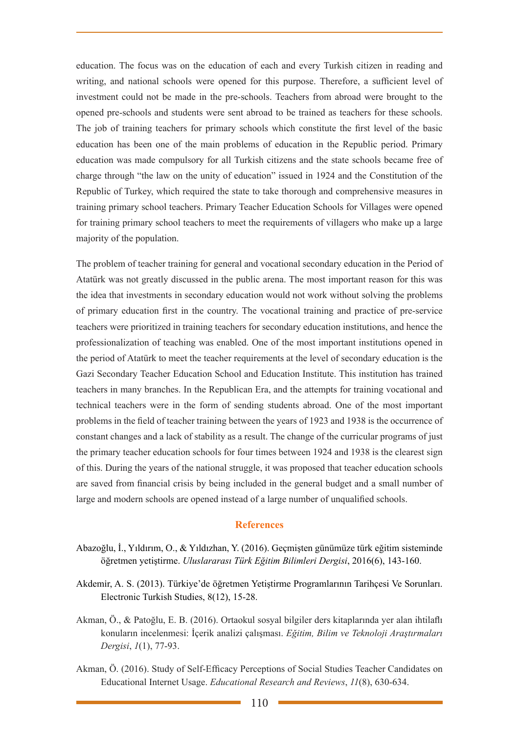education. The focus was on the education of each and every Turkish citizen in reading and writing, and national schools were opened for this purpose. Therefore, a sufficient level of investment could not be made in the pre-schools. Teachers from abroad were brought to the opened pre-schools and students were sent abroad to be trained as teachers for these schools. The job of training teachers for primary schools which constitute the first level of the basic education has been one of the main problems of education in the Republic period. Primary education was made compulsory for all Turkish citizens and the state schools became free of charge through "the law on the unity of education" issued in 1924 and the Constitution of the Republic of Turkey, which required the state to take thorough and comprehensive measures in training primary school teachers. Primary Teacher Education Schools for Villages were opened for training primary school teachers to meet the requirements of villagers who make up a large majority of the population.

The problem of teacher training for general and vocational secondary education in the Period of Atatürk was not greatly discussed in the public arena. The most important reason for this was the idea that investments in secondary education would not work without solving the problems of primary education first in the country. The vocational training and practice of pre-service teachers were prioritized in training teachers for secondary education institutions, and hence the professionalization of teaching was enabled. One of the most important institutions opened in the period of Atatürk to meet the teacher requirements at the level of secondary education is the Gazi Secondary Teacher Education School and Education Institute. This institution has trained teachers in many branches. In the Republican Era, and the attempts for training vocational and technical teachers were in the form of sending students abroad. One of the most important problems in the field of teacher training between the years of 1923 and 1938 is the occurrence of constant changes and a lack of stability as a result. The change of the curricular programs of just the primary teacher education schools for four times between 1924 and 1938 is the clearest sign of this. During the years of the national struggle, it was proposed that teacher education schools are saved from financial crisis by being included in the general budget and a small number of large and modern schools are opened instead of a large number of unqualified schools.

## **References**

- Abazoğlu, İ., Yıldırım, O., & Yıldızhan, Y. (2016). Geçmişten günümüze türk eğitim sisteminde öğretmen yetiştirme. *Uluslararası Türk Eğitim Bilimleri Dergisi*, 2016(6), 143-160.
- Akdemi̇r, A. S. (2013). Türkiye'de öğretmen Yetiştirme Programlarının Tarihçesi Ve Sorunları. Electronic Turkish Studies, 8(12), 15-28.
- Akman, Ö., & Patoğlu, E. B. (2016). Ortaokul sosyal bilgiler ders kitaplarında yer alan ihtilaflı konuların incelenmesi: İçerik analizi çalışması. *Eğitim, Bilim ve Teknoloji Araştırmaları Dergisi*, *1*(1), 77-93.
- Akman, Ö. (2016). Study of Self-Efficacy Perceptions of Social Studies Teacher Candidates on Educational Internet Usage. *Educational Research and Reviews*, *11*(8), 630-634.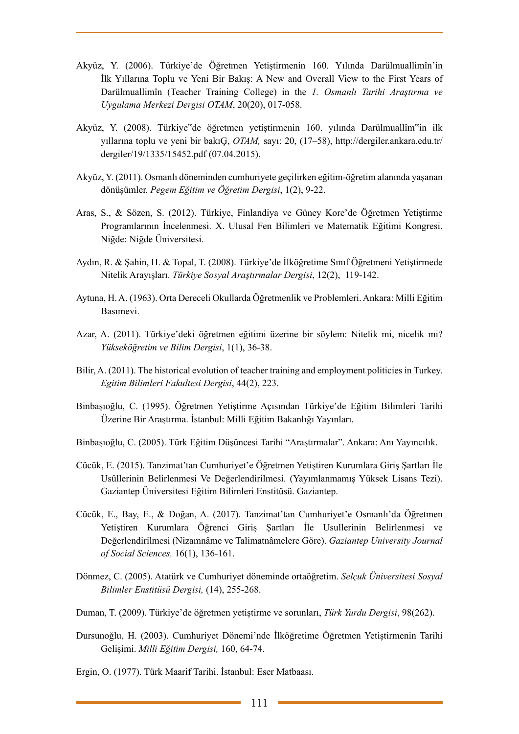- Akyüz, Y. (2006). Türkiye'de Öğretmen Yetiştirmenin 160. Yılında Darülmuallimîn'in İlk Yıllarına Toplu ve Yeni Bir Bakış: A New and Overall View to the First Years of Darülmuallimîn (Teacher Training College) in the *1. Osmanlı Tarihi Araştırma ve Uygulama Merkezi Dergisi OTAM*, 20(20), 017-058.
- Akyüz, Y. (2008). Türkiye"de öğretmen yetiştirmenin 160. yılında Darülmuallîm"in ilk yıllarına toplu ve yeni bir bakıĢ, *OTAM,* sayı: 20, (17–58), http://dergiler.ankara.edu.tr/ dergiler/19/1335/15452.pdf (07.04.2015).
- Akyüz, Y. (2011). Osmanlı döneminden cumhuriyete geçilirken eğitim-öğretim alanında yaşanan dönüşümler. *Pegem Eğitim ve Öğretim Dergisi*, 1(2), 9-22.
- Aras, S., & Sözen, S. (2012). Türkiye, Finlandiya ve Güney Kore'de Öğretmen Yetiştirme Programlarının İncelenmesi. X. Ulusal Fen Bilimleri ve Matematik Eğitimi Kongresi. Niğde: Niğde Üniversitesi.
- Aydın, R. & Şahin, H. & Topal, T. (2008). Türkiye'de İlköğretime Sınıf Öğretmeni Yetiştirmede Nitelik Arayışları. *Türkiye Sosyal Araştırmalar Dergisi*, 12(2), 119-142.
- Aytuna, H. A. (1963). Orta Dereceli Okullarda Öğretmenlik ve Problemleri. Ankara: Milli Eğitim Basımevi.
- Azar, A. (2011). Türkiye'deki öğretmen eğitimi üzerine bir söylem: Nitelik mi, nicelik mi? *Yükseköğretim ve Bilim Dergisi*, 1(1), 36-38.
- Bilir, A. (2011). The historical evolution of teacher training and employment politicies in Turkey. *Egitim Bilimleri Fakultesi Dergisi*, 44(2), 223.
- Binbaşıoğlu, C. (1995). Öğretmen Yetiştirme Açısından Türkiye'de Eğitim Bilimleri Tarihi Üzerine Bir Araştırma. İstanbul: Milli Eğitim Bakanlığı Yayınları.
- Binbaşıoğlu, C. (2005). Türk Eğitim Düşüncesi Tarihi "Araştırmalar". Ankara: Anı Yayıncılık.
- Cücük, E. (2015). Tanzimat'tan Cumhuriyet'e Öğretmen Yetiştiren Kurumlara Giriş Şartları İle Usûllerinin Belirlenmesi Ve Değerlendirilmesi. (Yayımlanmamış Yüksek Lisans Tezi). Gaziantep Üniversitesi Eğitim Bilimleri Enstitüsü. Gaziantep.
- Cücük, E., Bay, E., & Doğan, A. (2017). Tanzimat'tan Cumhuriyet'e Osmanlı'da Öğretmen Yetiştiren Kurumlara Öğrenci Giriş Şartları İle Usullerinin Belirlenmesi ve Değerlendirilmesi (Nizamnâme ve Talimatnâmelere Göre). *Gaziantep University Journal of Social Sciences,* 16(1), 136-161.
- Dönmez, C. (2005). Atatürk ve Cumhuriyet döneminde ortaöğretim. *Selçuk Üniversitesi Sosyal Bilimler Enstitüsü Dergisi,* (14), 255-268.
- Duman, T. (2009). Türkiye'de öğretmen yetiştirme ve sorunları, *Türk Yurdu Dergisi*, 98(262).
- Dursunoğlu, H. (2003). Cumhuriyet Dönemi'nde İlköğretime Öğretmen Yetiştirmenin Tarihi Gelişimi. *Milli Eğitim Dergisi,* 160, 64-74.

Ergin, O. (1977). Türk Maarif Tarihi. İstanbul: Eser Matbaası.